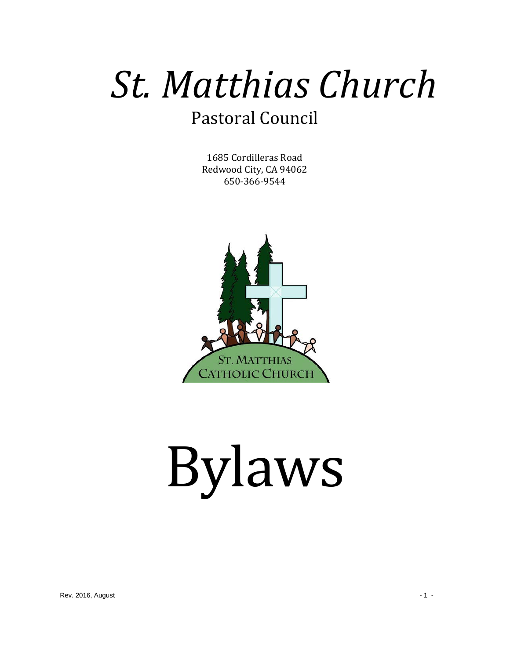# *St. Matthias Church* Pastoral Council

1685 Cordilleras Road Redwood City, CA 94062 650-366-9544



# Bylaws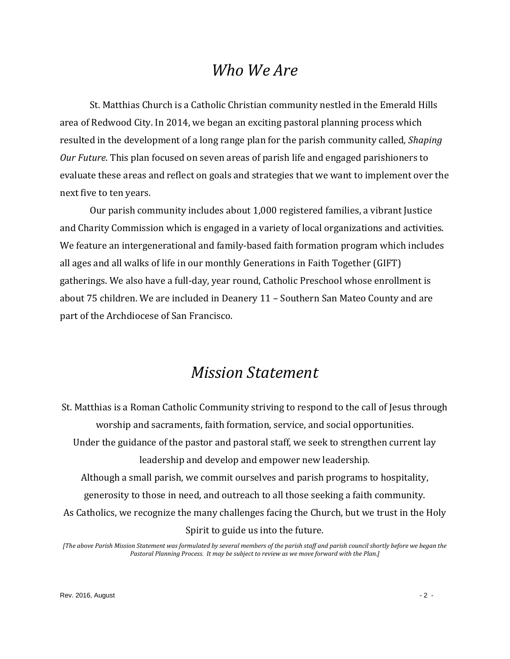## *Who We Are*

St. Matthias Church is a Catholic Christian community nestled in the Emerald Hills area of Redwood City. In 2014, we began an exciting pastoral planning process which resulted in the development of a long range plan for the parish community called, *Shaping Our Future*. This plan focused on seven areas of parish life and engaged parishioners to evaluate these areas and reflect on goals and strategies that we want to implement over the next five to ten years.

Our parish community includes about 1,000 registered families, a vibrant Justice and Charity Commission which is engaged in a variety of local organizations and activities. We feature an intergenerational and family-based faith formation program which includes all ages and all walks of life in our monthly Generations in Faith Together (GIFT) gatherings. We also have a full-day, year round, Catholic Preschool whose enrollment is about 75 children. We are included in Deanery 11 – Southern San Mateo County and are part of the Archdiocese of San Francisco.

## *Mission Statement*

St. Matthias is a Roman Catholic Community striving to respond to the call of Jesus through worship and sacraments, faith formation, service, and social opportunities. Under the guidance of the pastor and pastoral staff, we seek to strengthen current lay leadership and develop and empower new leadership. Although a small parish, we commit ourselves and parish programs to hospitality, generosity to those in need, and outreach to all those seeking a faith community. As Catholics, we recognize the many challenges facing the Church, but we trust in the Holy Spirit to guide us into the future.

*[The above Parish Mission Statement was formulated by several members of the parish staff and parish council shortly before we began the Pastoral Planning Process. It may be subject to review as we move forward with the Plan.]*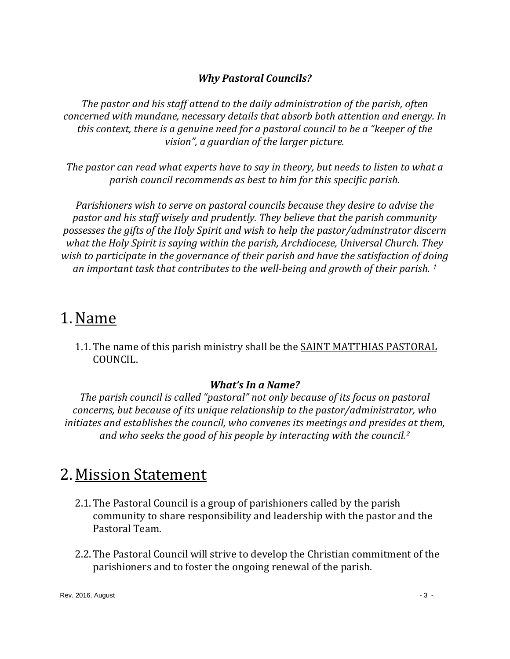#### *Why Pastoral Councils?*

*The pastor and his staff attend to the daily administration of the parish, often concerned with mundane, necessary details that absorb both attention and energy. In this context, there is a genuine need for a pastoral council to be a "keeper of the vision", a guardian of the larger picture.* 

*The pastor can read what experts have to say in theory, but needs to listen to what a parish council recommends as best to him for this specific parish.*

*Parishioners wish to serve on pastoral councils because they desire to advise the pastor and his staff wisely and prudently. They believe that the parish community possesses the gifts of the Holy Spirit and wish to help the pastor/adminstrator discern what the Holy Spirit is saying within the parish, Archdiocese, Universal Church. They wish to participate in the governance of their parish and have the satisfaction of doing an important task that contributes to the well-being and growth of their parish. [1](#page-9-0)*

## 1.Name

1.1.The name of this parish ministry shall be the SAINT MATTHIAS PASTORAL COUNCIL.

#### *What's In a Name?*

*The parish council is called "pastoral" not only because of its focus on pastoral concerns, but because of its unique relationship to the pastor/administrator, who initiates and establishes the council, who convenes its meetings and presides at them, and who seeks the good of his people by interacting with the council.[2](#page-9-1)*

## 2. Mission Statement

- 2.1.The Pastoral Council is a group of parishioners called by the parish community to share responsibility and leadership with the pastor and the Pastoral Team.
- 2.2.The Pastoral Council will strive to develop the Christian commitment of the parishioners and to foster the ongoing renewal of the parish.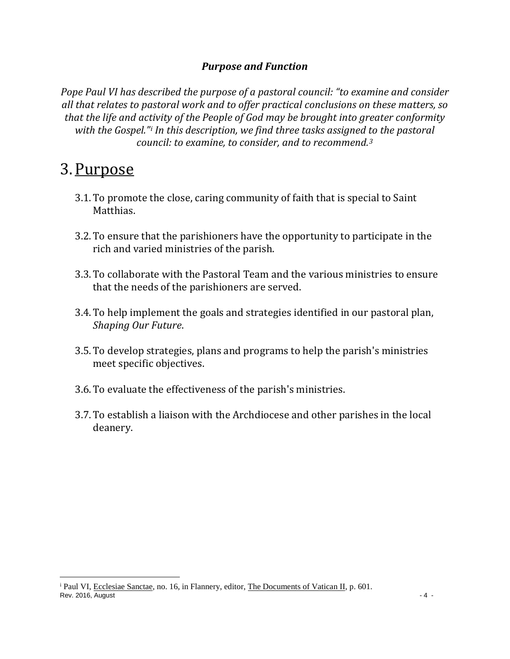#### *Purpose and Function*

*Pope Paul VI has described the purpose of a pastoral council: "to examine and consider all that relates to pastoral work and to offer practical conclusions on these matters, so that the life and activity of the People of God may be brought into greater conformity with the Gospel."[i](#page-3-0) In this description, we find three tasks assigned to the pastoral council: to examine, to consider, and to recommend.[3](#page-9-2)*

## 3.Purpose

- 3.1.To promote the close, caring community of faith that is special to Saint Matthias.
- 3.2.To ensure that the parishioners have the opportunity to participate in the rich and varied ministries of the parish.
- 3.3.To collaborate with the Pastoral Team and the various ministries to ensure that the needs of the parishioners are served.
- 3.4.To help implement the goals and strategies identified in our pastoral plan, *Shaping Our Future*.
- 3.5.To develop strategies, plans and programs to help the parish's ministries meet specific objectives.
- 3.6.To evaluate the effectiveness of the parish's ministries.
- 3.7.To establish a liaison with the Archdiocese and other parishes in the local deanery.

<span id="page-3-0"></span> $\overline{R}$  Rev. 2016, August  $\overline{R}$  - 4 i Paul VI, Ecclesiae Sanctae, no. 16, in Flannery, editor, The Documents of Vatican II, p. 601.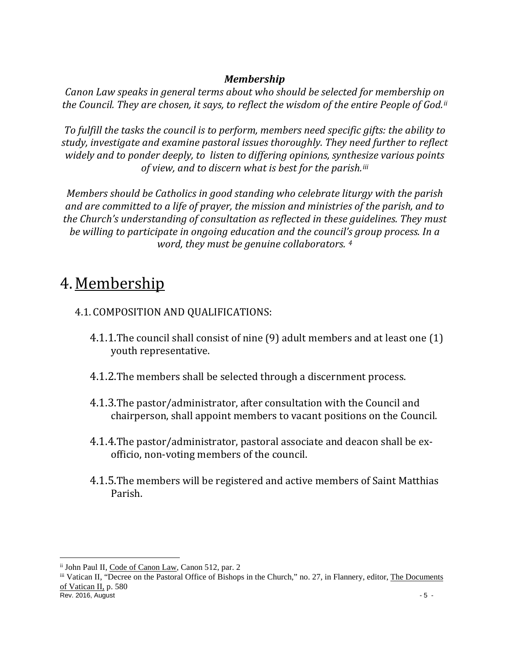#### *Membership*

*Canon Law speaks in general terms about who should be selected for membership on the Council. They are chosen, it says, to reflect the wisdom of the entire People of God.[ii](#page-4-0)*

*To fulfill the tasks the council is to perform, members need specific gifts: the ability to study, investigate and examine pastoral issues thoroughly. They need further to reflect widely and to ponder deeply, to listen to differing opinions, synthesize various points of view, and to discern what is best for the parish.[iii](#page-4-1)*

*Members should be Catholics in good standing who celebrate liturgy with the parish and are committed to a life of prayer, the mission and ministries of the parish, and to the Church's understanding of consultation as reflected in these guidelines. They must be willing to participate in ongoing education and the council's group process. In a word, they must be genuine collaborators. [4](#page-9-3)*

## 4. Membership

#### 4.1. COMPOSITION AND QUALIFICATIONS:

- 4.1.1.The council shall consist of nine (9) adult members and at least one (1) youth representative.
- 4.1.2.The members shall be selected through a discernment process.
- 4.1.3.The pastor/administrator, after consultation with the Council and chairperson, shall appoint members to vacant positions on the Council.
- 4.1.4.The pastor/administrator, pastoral associate and deacon shall be exofficio, non-voting members of the council.
- 4.1.5.The members will be registered and active members of Saint Matthias Parish.

<span id="page-4-0"></span>ii John Paul II, Code of Canon Law, Canon 512, par. 2

<span id="page-4-1"></span> $\frac{1}{2}$  Rev. 2016, August - 5 iii Vatican II, "Decree on the Pastoral Office of Bishops in the Church," no. 27, in Flannery, editor, The Documents of Vatican II, p. 580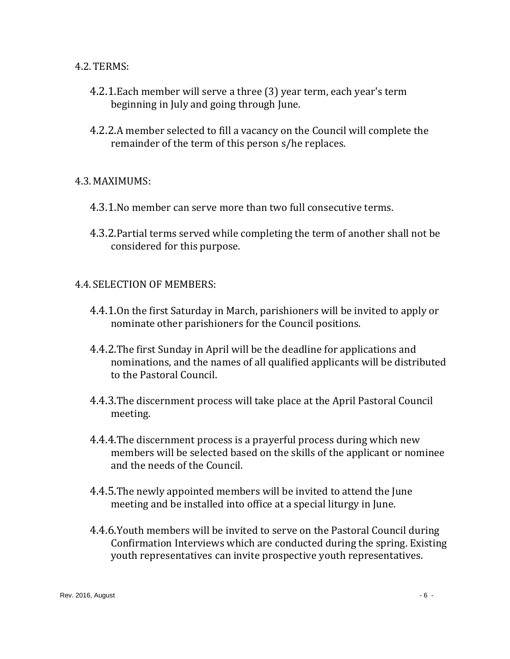#### 4.2.TERMS:

- 4.2.1.Each member will serve a three (3) year term, each year's term beginning in July and going through June.
- 4.2.2.A member selected to fill a vacancy on the Council will complete the remainder of the term of this person s/he replaces.

#### 4.3. MAXIMUMS:

- 4.3.1.No member can serve more than two full consecutive terms.
- 4.3.2.Partial terms served while completing the term of another shall not be considered for this purpose.

#### 4.4. SELECTION OF MEMBERS:

- 4.4.1.On the first Saturday in March, parishioners will be invited to apply or nominate other parishioners for the Council positions.
- 4.4.2.The first Sunday in April will be the deadline for applications and nominations, and the names of all qualified applicants will be distributed to the Pastoral Council.
- 4.4.3.The discernment process will take place at the April Pastoral Council meeting.
- 4.4.4.The discernment process is a prayerful process during which new members will be selected based on the skills of the applicant or nominee and the needs of the Council.
- 4.4.5.The newly appointed members will be invited to attend the June meeting and be installed into office at a special liturgy in June.
- 4.4.6.Youth members will be invited to serve on the Pastoral Council during Confirmation Interviews which are conducted during the spring. Existing youth representatives can invite prospective youth representatives.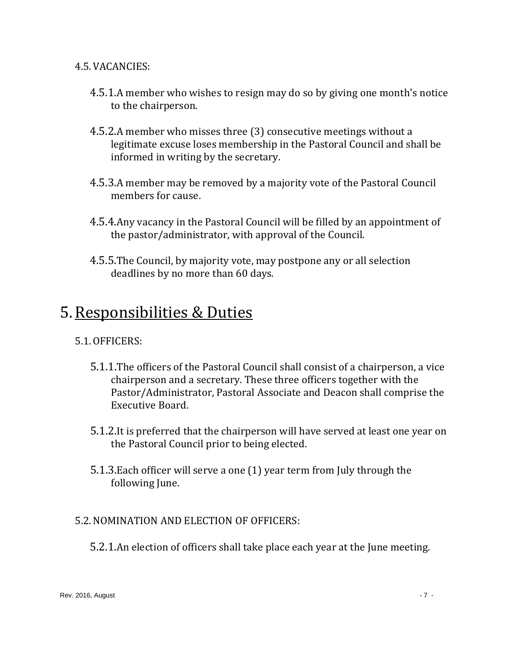4.5.VACANCIES:

- 4.5.1.A member who wishes to resign may do so by giving one month's notice to the chairperson.
- 4.5.2.A member who misses three (3) consecutive meetings without a legitimate excuse loses membership in the Pastoral Council and shall be informed in writing by the secretary.
- 4.5.3.A member may be removed by a majority vote of the Pastoral Council members for cause.
- 4.5.4.Any vacancy in the Pastoral Council will be filled by an appointment of the pastor/administrator, with approval of the Council.
- 4.5.5.The Council, by majority vote, may postpone any or all selection deadlines by no more than 60 days.

## 5.Responsibilities & Duties

#### 5.1.OFFICERS:

- 5.1.1.The officers of the Pastoral Council shall consist of a chairperson, a vice chairperson and a secretary. These three officers together with the Pastor/Administrator, Pastoral Associate and Deacon shall comprise the Executive Board.
- 5.1.2.It is preferred that the chairperson will have served at least one year on the Pastoral Council prior to being elected.
- 5.1.3.Each officer will serve a one (1) year term from July through the following June.

#### 5.2.NOMINATION AND ELECTION OF OFFICERS:

5.2.1.An election of officers shall take place each year at the June meeting.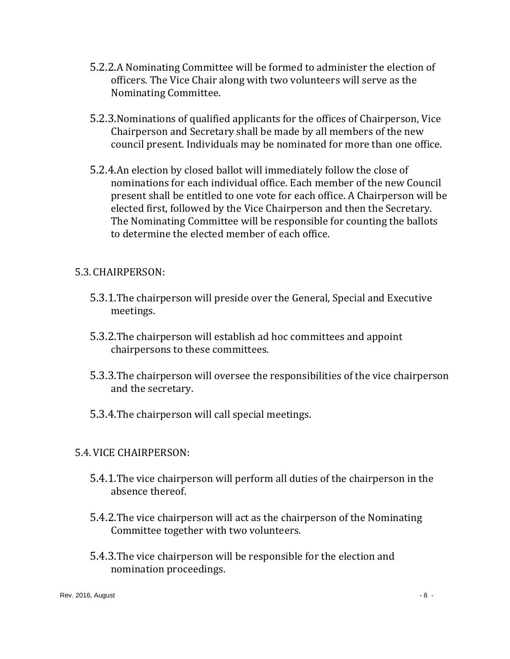- 5.2.2.A Nominating Committee will be formed to administer the election of officers. The Vice Chair along with two volunteers will serve as the Nominating Committee.
- 5.2.3.Nominations of qualified applicants for the offices of Chairperson, Vice Chairperson and Secretary shall be made by all members of the new council present. Individuals may be nominated for more than one office.
- 5.2.4.An election by closed ballot will immediately follow the close of nominations for each individual office. Each member of the new Council present shall be entitled to one vote for each office. A Chairperson will be elected first, followed by the Vice Chairperson and then the Secretary. The Nominating Committee will be responsible for counting the ballots to determine the elected member of each office.

#### 5.3. CHAIRPERSON:

- 5.3.1.The chairperson will preside over the General, Special and Executive meetings.
- 5.3.2.The chairperson will establish ad hoc committees and appoint chairpersons to these committees.
- 5.3.3.The chairperson will oversee the responsibilities of the vice chairperson and the secretary.
- 5.3.4.The chairperson will call special meetings.

#### 5.4.VICE CHAIRPERSON:

- 5.4.1.The vice chairperson will perform all duties of the chairperson in the absence thereof.
- 5.4.2.The vice chairperson will act as the chairperson of the Nominating Committee together with two volunteers.
- 5.4.3.The vice chairperson will be responsible for the election and nomination proceedings.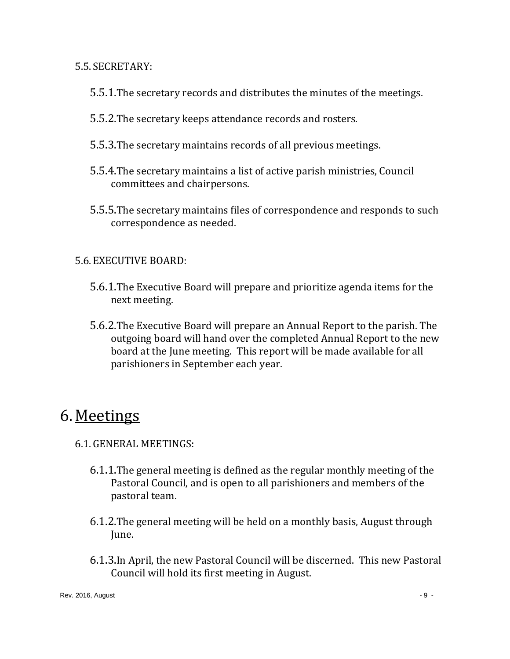5.5. SECRETARY:

- 5.5.1.The secretary records and distributes the minutes of the meetings.
- 5.5.2.The secretary keeps attendance records and rosters.
- 5.5.3.The secretary maintains records of all previous meetings.
- 5.5.4.The secretary maintains a list of active parish ministries, Council committees and chairpersons.
- 5.5.5.The secretary maintains files of correspondence and responds to such correspondence as needed.

#### 5.6. EXECUTIVE BOARD:

- 5.6.1.The Executive Board will prepare and prioritize agenda items for the next meeting.
- 5.6.2.The Executive Board will prepare an Annual Report to the parish. The outgoing board will hand over the completed Annual Report to the new board at the June meeting. This report will be made available for all parishioners in September each year.

## 6. Meetings

- 6.1.GENERAL MEETINGS:
	- 6.1.1.The general meeting is defined as the regular monthly meeting of the Pastoral Council, and is open to all parishioners and members of the pastoral team.
	- 6.1.2.The general meeting will be held on a monthly basis, August through June.
	- 6.1.3.In April, the new Pastoral Council will be discerned. This new Pastoral Council will hold its first meeting in August.